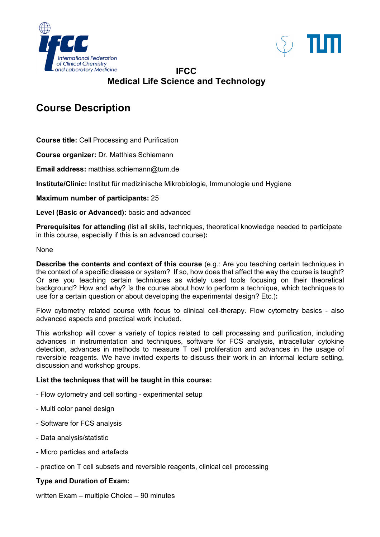



## **IFCC Medical Life Science and Technology**

# **Course Description**

**Course title:** Cell Processing and Purification

**Course organizer:** Dr. Matthias Schiemann

**Email address:** matthias.schiemann@tum.de

**Institute/Clinic:** Institut für medizinische Mikrobiologie, Immunologie und Hygiene

**Maximum number of participants:** 25

**Level (Basic or Advanced):** basic and advanced

**Prerequisites for attending** (list all skills, techniques, theoretical knowledge needed to participate in this course, especially if this is an advanced course)**:**

#### None

**Describe the contents and context of this course** (e.g.: Are you teaching certain techniques in the context of a specific disease or system? If so, how does that affect the way the course is taught? Or are you teaching certain techniques as widely used tools focusing on their theoretical background? How and why? Is the course about how to perform a technique, which techniques to use for a certain question or about developing the experimental design? Etc.)**:**

Flow cytometry related course with focus to clinical cell-therapy. Flow cytometry basics - also advanced aspects and practical work included.

This workshop will cover a variety of topics related to cell processing and purification, including advances in instrumentation and techniques, software for FCS analysis, intracellular cytokine detection, advances in methods to measure T cell proliferation and advances in the usage of reversible reagents. We have invited experts to discuss their work in an informal lecture setting, discussion and workshop groups.

#### **List the techniques that will be taught in this course:**

- Flow cytometry and cell sorting experimental setup
- Multi color panel design
- Software for FCS analysis
- Data analysis/statistic
- Micro particles and artefacts
- practice on T cell subsets and reversible reagents, clinical cell processing

#### **Type and Duration of Exam:**

written Exam – multiple Choice – 90 minutes